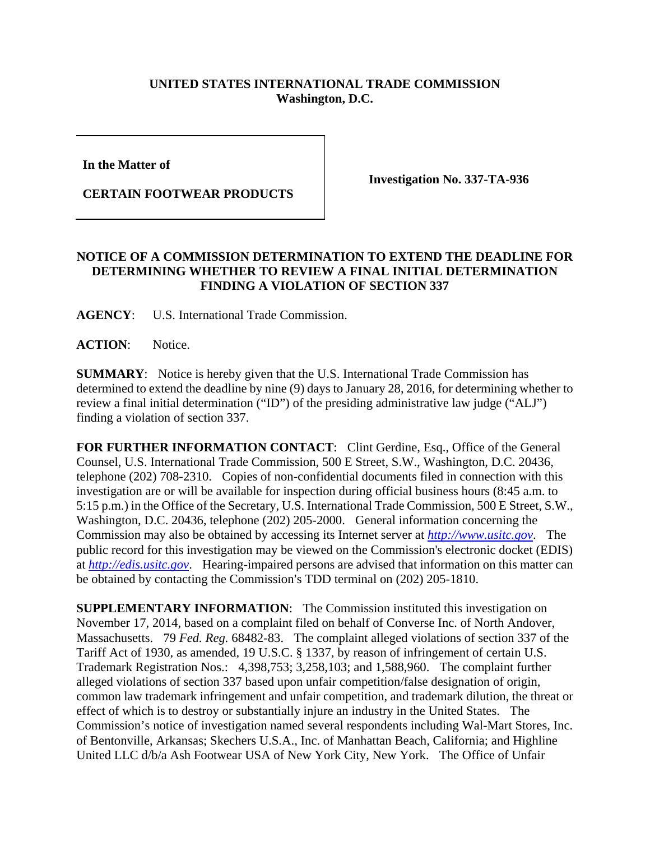## **UNITED STATES INTERNATIONAL TRADE COMMISSION Washington, D.C.**

**In the Matter of** 

**CERTAIN FOOTWEAR PRODUCTS** 

**Investigation No. 337-TA-936** 

## **NOTICE OF A COMMISSION DETERMINATION TO EXTEND THE DEADLINE FOR DETERMINING WHETHER TO REVIEW A FINAL INITIAL DETERMINATION FINDING A VIOLATION OF SECTION 337**

**AGENCY**: U.S. International Trade Commission.

**ACTION**: Notice.

**SUMMARY**: Notice is hereby given that the U.S. International Trade Commission has determined to extend the deadline by nine (9) days to January 28, 2016, for determining whether to review a final initial determination ("ID") of the presiding administrative law judge ("ALJ") finding a violation of section 337.

FOR FURTHER INFORMATION CONTACT: Clint Gerdine, Esq., Office of the General Counsel, U.S. International Trade Commission, 500 E Street, S.W., Washington, D.C. 20436, telephone (202) 708-2310. Copies of non-confidential documents filed in connection with this investigation are or will be available for inspection during official business hours (8:45 a.m. to 5:15 p.m.) in the Office of the Secretary, U.S. International Trade Commission, 500 E Street, S.W., Washington, D.C. 20436, telephone (202) 205-2000. General information concerning the Commission may also be obtained by accessing its Internet server at *http://www.usitc.gov*. The public record for this investigation may be viewed on the Commission's electronic docket (EDIS) at *http://edis.usitc.gov*. Hearing-impaired persons are advised that information on this matter can be obtained by contacting the Commission's TDD terminal on (202) 205-1810.

**SUPPLEMENTARY INFORMATION**: The Commission instituted this investigation on November 17, 2014, based on a complaint filed on behalf of Converse Inc. of North Andover, Massachusetts. 79 *Fed. Reg.* 68482-83. The complaint alleged violations of section 337 of the Tariff Act of 1930, as amended, 19 U.S.C. § 1337, by reason of infringement of certain U.S. Trademark Registration Nos.: 4,398,753; 3,258,103; and 1,588,960. The complaint further alleged violations of section 337 based upon unfair competition/false designation of origin, common law trademark infringement and unfair competition, and trademark dilution, the threat or effect of which is to destroy or substantially injure an industry in the United States. The Commission's notice of investigation named several respondents including Wal-Mart Stores, Inc. of Bentonville, Arkansas; Skechers U.S.A., Inc. of Manhattan Beach, California; and Highline United LLC d/b/a Ash Footwear USA of New York City, New York. The Office of Unfair